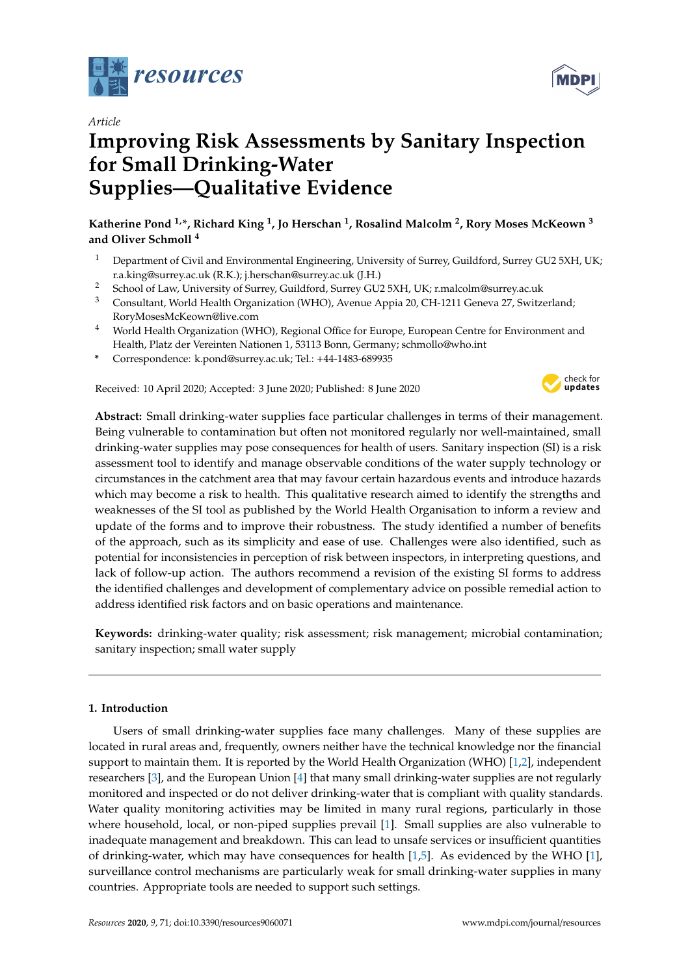



# **Improving Risk Assessments by Sanitary Inspection for Small Drinking-Water Supplies—Qualitative Evidence**

**Katherine Pond 1,\*, Richard King <sup>1</sup> , Jo Herschan <sup>1</sup> , Rosalind Malcolm <sup>2</sup> , Rory Moses McKeown <sup>3</sup> and Oliver Schmoll <sup>4</sup>**

- <sup>1</sup> Department of Civil and Environmental Engineering, University of Surrey, Guildford, Surrey GU2 5XH, UK; r.a.king@surrey.ac.uk (R.K.); j.herschan@surrey.ac.uk (J.H.)
- <sup>2</sup> School of Law, University of Surrey, Guildford, Surrey GU2 5XH, UK; r.malcolm@surrey.ac.uk<br><sup>3</sup> Consultant Warld Health Organization (WHO), Ayanya Annia 20, CH 1211 Consus <sup>27</sup> Surita
- <sup>3</sup> Consultant, World Health Organization (WHO), Avenue Appia 20, CH-1211 Geneva 27, Switzerland; RoryMosesMcKeown@live.com
- <sup>4</sup> World Health Organization (WHO), Regional Office for Europe, European Centre for Environment and Health, Platz der Vereinten Nationen 1, 53113 Bonn, Germany; schmollo@who.int
- **\*** Correspondence: k.pond@surrey.ac.uk; Tel.: +44-1483-689935

Received: 10 April 2020; Accepted: 3 June 2020; Published: 8 June 2020



**MDPI** 

**Abstract:** Small drinking-water supplies face particular challenges in terms of their management. Being vulnerable to contamination but often not monitored regularly nor well-maintained, small drinking-water supplies may pose consequences for health of users. Sanitary inspection (SI) is a risk assessment tool to identify and manage observable conditions of the water supply technology or circumstances in the catchment area that may favour certain hazardous events and introduce hazards which may become a risk to health. This qualitative research aimed to identify the strengths and weaknesses of the SI tool as published by the World Health Organisation to inform a review and update of the forms and to improve their robustness. The study identified a number of benefits of the approach, such as its simplicity and ease of use. Challenges were also identified, such as potential for inconsistencies in perception of risk between inspectors, in interpreting questions, and lack of follow-up action. The authors recommend a revision of the existing SI forms to address the identified challenges and development of complementary advice on possible remedial action to address identified risk factors and on basic operations and maintenance.

**Keywords:** drinking-water quality; risk assessment; risk management; microbial contamination; sanitary inspection; small water supply

# **1. Introduction**

Users of small drinking-water supplies face many challenges. Many of these supplies are located in rural areas and, frequently, owners neither have the technical knowledge nor the financial support to maintain them. It is reported by the World Health Organization (WHO) [\[1,](#page-13-0)[2\]](#page-13-1), independent researchers [\[3\]](#page-13-2), and the European Union [\[4\]](#page-13-3) that many small drinking-water supplies are not regularly monitored and inspected or do not deliver drinking-water that is compliant with quality standards. Water quality monitoring activities may be limited in many rural regions, particularly in those where household, local, or non-piped supplies prevail [\[1\]](#page-13-0). Small supplies are also vulnerable to inadequate management and breakdown. This can lead to unsafe services or insufficient quantities of drinking-water, which may have consequences for health [\[1](#page-13-0)[,5\]](#page-13-4). As evidenced by the WHO [\[1\]](#page-13-0), surveillance control mechanisms are particularly weak for small drinking-water supplies in many countries. Appropriate tools are needed to support such settings.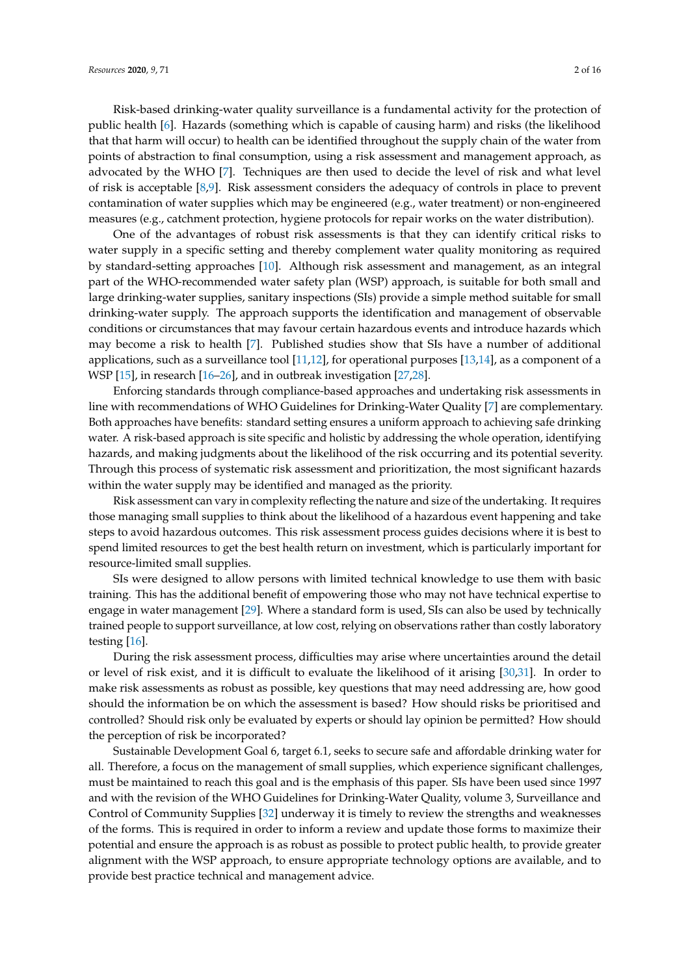Risk-based drinking-water quality surveillance is a fundamental activity for the protection of public health [\[6\]](#page-13-5). Hazards (something which is capable of causing harm) and risks (the likelihood that that harm will occur) to health can be identified throughout the supply chain of the water from points of abstraction to final consumption, using a risk assessment and management approach, as advocated by the WHO [\[7\]](#page-13-6). Techniques are then used to decide the level of risk and what level of risk is acceptable [\[8,](#page-13-7)[9\]](#page-13-8). Risk assessment considers the adequacy of controls in place to prevent contamination of water supplies which may be engineered (e.g., water treatment) or non-engineered measures (e.g., catchment protection, hygiene protocols for repair works on the water distribution).

One of the advantages of robust risk assessments is that they can identify critical risks to water supply in a specific setting and thereby complement water quality monitoring as required by standard-setting approaches [\[10\]](#page-13-9). Although risk assessment and management, as an integral part of the WHO-recommended water safety plan (WSP) approach, is suitable for both small and large drinking-water supplies, sanitary inspections (SIs) provide a simple method suitable for small drinking-water supply. The approach supports the identification and management of observable conditions or circumstances that may favour certain hazardous events and introduce hazards which may become a risk to health [\[7\]](#page-13-6). Published studies show that SIs have a number of additional applications, such as a surveillance tool [\[11,](#page-13-10)[12\]](#page-13-11), for operational purposes [\[13,](#page-13-12)[14\]](#page-13-13), as a component of a WSP [\[15\]](#page-13-14), in research [\[16–](#page-13-15)[26\]](#page-14-0), and in outbreak investigation [\[27](#page-14-1)[,28\]](#page-14-2).

Enforcing standards through compliance-based approaches and undertaking risk assessments in line with recommendations of WHO Guidelines for Drinking-Water Quality [\[7\]](#page-13-6) are complementary. Both approaches have benefits: standard setting ensures a uniform approach to achieving safe drinking water. A risk-based approach is site specific and holistic by addressing the whole operation, identifying hazards, and making judgments about the likelihood of the risk occurring and its potential severity. Through this process of systematic risk assessment and prioritization, the most significant hazards within the water supply may be identified and managed as the priority.

Risk assessment can vary in complexity reflecting the nature and size of the undertaking. It requires those managing small supplies to think about the likelihood of a hazardous event happening and take steps to avoid hazardous outcomes. This risk assessment process guides decisions where it is best to spend limited resources to get the best health return on investment, which is particularly important for resource-limited small supplies.

SIs were designed to allow persons with limited technical knowledge to use them with basic training. This has the additional benefit of empowering those who may not have technical expertise to engage in water management [\[29\]](#page-14-3). Where a standard form is used, SIs can also be used by technically trained people to support surveillance, at low cost, relying on observations rather than costly laboratory testing [\[16\]](#page-13-15).

During the risk assessment process, difficulties may arise where uncertainties around the detail or level of risk exist, and it is difficult to evaluate the likelihood of it arising [\[30](#page-14-4)[,31\]](#page-14-5). In order to make risk assessments as robust as possible, key questions that may need addressing are, how good should the information be on which the assessment is based? How should risks be prioritised and controlled? Should risk only be evaluated by experts or should lay opinion be permitted? How should the perception of risk be incorporated?

Sustainable Development Goal 6, target 6.1, seeks to secure safe and affordable drinking water for all. Therefore, a focus on the management of small supplies, which experience significant challenges, must be maintained to reach this goal and is the emphasis of this paper. SIs have been used since 1997 and with the revision of the WHO Guidelines for Drinking-Water Quality, volume 3, Surveillance and Control of Community Supplies [\[32\]](#page-14-6) underway it is timely to review the strengths and weaknesses of the forms. This is required in order to inform a review and update those forms to maximize their potential and ensure the approach is as robust as possible to protect public health, to provide greater alignment with the WSP approach, to ensure appropriate technology options are available, and to provide best practice technical and management advice.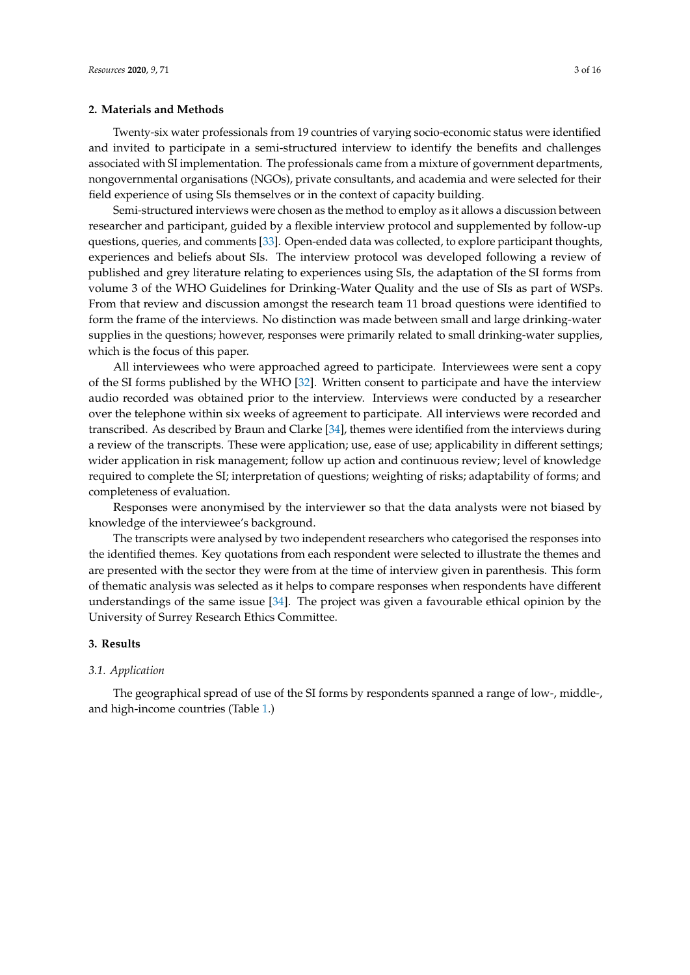# **2. Materials and Methods**

Twenty-six water professionals from 19 countries of varying socio-economic status were identified and invited to participate in a semi-structured interview to identify the benefits and challenges associated with SI implementation. The professionals came from a mixture of government departments, nongovernmental organisations (NGOs), private consultants, and academia and were selected for their field experience of using SIs themselves or in the context of capacity building.

Semi-structured interviews were chosen as the method to employ as it allows a discussion between researcher and participant, guided by a flexible interview protocol and supplemented by follow-up questions, queries, and comments [\[33\]](#page-14-7). Open-ended data was collected, to explore participant thoughts, experiences and beliefs about SIs. The interview protocol was developed following a review of published and grey literature relating to experiences using SIs, the adaptation of the SI forms from volume 3 of the WHO Guidelines for Drinking-Water Quality and the use of SIs as part of WSPs. From that review and discussion amongst the research team 11 broad questions were identified to form the frame of the interviews. No distinction was made between small and large drinking-water supplies in the questions; however, responses were primarily related to small drinking-water supplies, which is the focus of this paper.

All interviewees who were approached agreed to participate. Interviewees were sent a copy of the SI forms published by the WHO [\[32\]](#page-14-6). Written consent to participate and have the interview audio recorded was obtained prior to the interview. Interviews were conducted by a researcher over the telephone within six weeks of agreement to participate. All interviews were recorded and transcribed. As described by Braun and Clarke [\[34\]](#page-14-8), themes were identified from the interviews during a review of the transcripts. These were application; use, ease of use; applicability in different settings; wider application in risk management; follow up action and continuous review; level of knowledge required to complete the SI; interpretation of questions; weighting of risks; adaptability of forms; and completeness of evaluation.

Responses were anonymised by the interviewer so that the data analysts were not biased by knowledge of the interviewee's background.

The transcripts were analysed by two independent researchers who categorised the responses into the identified themes. Key quotations from each respondent were selected to illustrate the themes and are presented with the sector they were from at the time of interview given in parenthesis. This form of thematic analysis was selected as it helps to compare responses when respondents have different understandings of the same issue [\[34\]](#page-14-8). The project was given a favourable ethical opinion by the University of Surrey Research Ethics Committee.

# **3. Results**

#### *3.1. Application*

The geographical spread of use of the SI forms by respondents spanned a range of low-, middle-, and high-income countries (Table [1.](#page-3-0))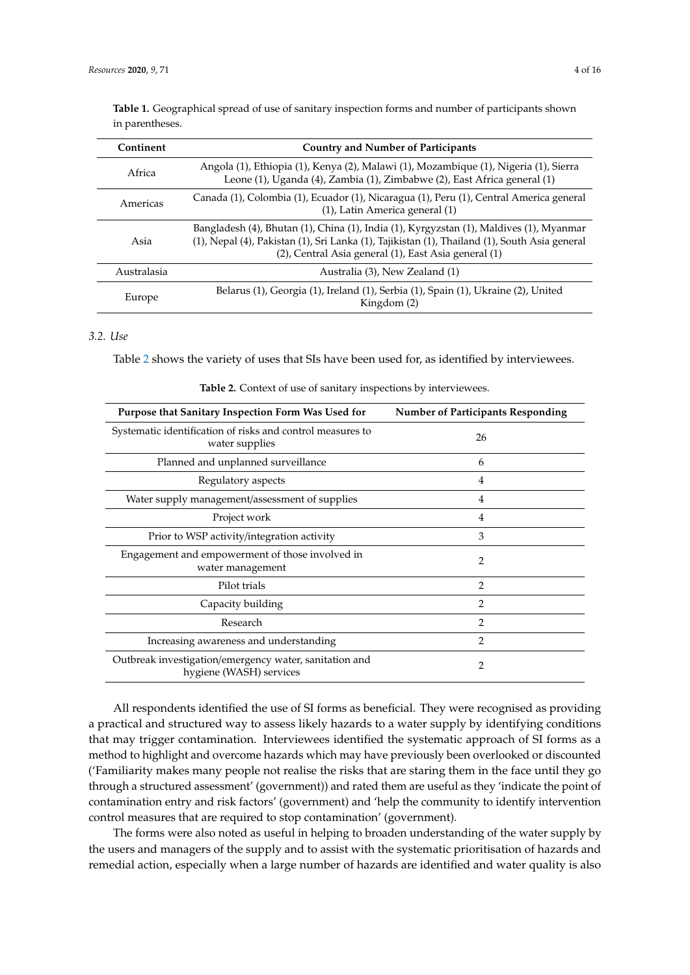| Continent   | <b>Country and Number of Participants</b>                                                                                                                                                                                                        |  |
|-------------|--------------------------------------------------------------------------------------------------------------------------------------------------------------------------------------------------------------------------------------------------|--|
| Africa      | Angola (1), Ethiopia (1), Kenya (2), Malawi (1), Mozambique (1), Nigeria (1), Sierra<br>Leone (1), Uganda (4), Zambia (1), Zimbabwe (2), East Africa general (1)                                                                                 |  |
| Americas    | Canada (1), Colombia (1), Ecuador (1), Nicaragua (1), Peru (1), Central America general<br>(1), Latin America general (1)                                                                                                                        |  |
| Asia        | Bangladesh (4), Bhutan (1), China (1), India (1), Kyrgyzstan (1), Maldives (1), Myanmar<br>(1), Nepal (4), Pakistan (1), Sri Lanka (1), Tajikistan (1), Thailand (1), South Asia general<br>(2), Central Asia general (1), East Asia general (1) |  |
| Australasia | Australia (3), New Zealand (1)                                                                                                                                                                                                                   |  |
| Europe      | Belarus (1), Georgia (1), Ireland (1), Serbia (1), Spain (1), Ukraine (2), United<br>Kingdom (2)                                                                                                                                                 |  |

<span id="page-3-0"></span>**Table 1.** Geographical spread of use of sanitary inspection forms and number of participants shown in parentheses.

# *3.2. Use*

<span id="page-3-1"></span>Table [2](#page-3-1) shows the variety of uses that SIs have been used for, as identified by interviewees.

| Purpose that Sanitary Inspection Form Was Used for                                | <b>Number of Participants Responding</b> |
|-----------------------------------------------------------------------------------|------------------------------------------|
| Systematic identification of risks and control measures to<br>water supplies      | 26                                       |
| Planned and unplanned surveillance                                                | 6                                        |
| Regulatory aspects                                                                | 4                                        |
| Water supply management/assessment of supplies                                    | $\overline{4}$                           |
| Project work                                                                      | $\overline{4}$                           |
| Prior to WSP activity/integration activity                                        | 3                                        |
| Engagement and empowerment of those involved in<br>water management               | 2                                        |
| Pilot trials                                                                      | $\overline{2}$                           |
| Capacity building                                                                 | 2                                        |
| Research                                                                          | $\mathcal{P}$                            |
| Increasing awareness and understanding                                            | $\overline{2}$                           |
| Outbreak investigation/emergency water, sanitation and<br>hygiene (WASH) services | 2                                        |

**Table 2.** Context of use of sanitary inspections by interviewees.

All respondents identified the use of SI forms as beneficial. They were recognised as providing a practical and structured way to assess likely hazards to a water supply by identifying conditions that may trigger contamination. Interviewees identified the systematic approach of SI forms as a method to highlight and overcome hazards which may have previously been overlooked or discounted ('Familiarity makes many people not realise the risks that are staring them in the face until they go through a structured assessment' (government)) and rated them are useful as they 'indicate the point of contamination entry and risk factors' (government) and 'help the community to identify intervention control measures that are required to stop contamination' (government).

The forms were also noted as useful in helping to broaden understanding of the water supply by the users and managers of the supply and to assist with the systematic prioritisation of hazards and remedial action, especially when a large number of hazards are identified and water quality is also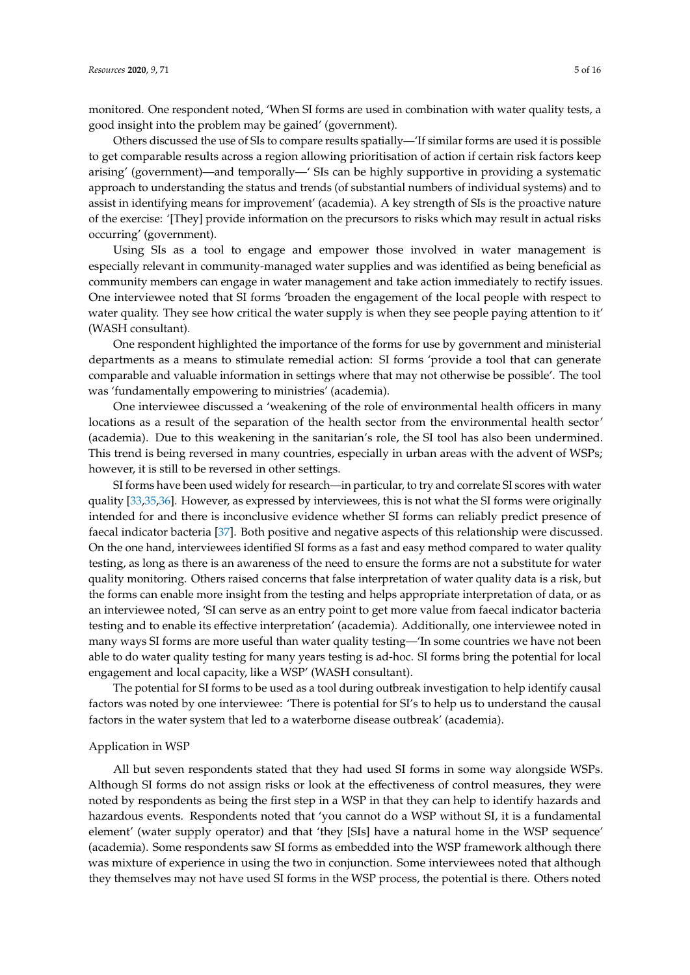monitored. One respondent noted, 'When SI forms are used in combination with water quality tests, a good insight into the problem may be gained' (government).

Others discussed the use of SIs to compare results spatially—'If similar forms are used it is possible to get comparable results across a region allowing prioritisation of action if certain risk factors keep arising' (government)—and temporally—' SIs can be highly supportive in providing a systematic approach to understanding the status and trends (of substantial numbers of individual systems) and to assist in identifying means for improvement' (academia). A key strength of SIs is the proactive nature of the exercise: '[They] provide information on the precursors to risks which may result in actual risks occurring' (government).

Using SIs as a tool to engage and empower those involved in water management is especially relevant in community-managed water supplies and was identified as being beneficial as community members can engage in water management and take action immediately to rectify issues. One interviewee noted that SI forms 'broaden the engagement of the local people with respect to water quality. They see how critical the water supply is when they see people paying attention to it' (WASH consultant).

One respondent highlighted the importance of the forms for use by government and ministerial departments as a means to stimulate remedial action: SI forms 'provide a tool that can generate comparable and valuable information in settings where that may not otherwise be possible'. The tool was 'fundamentally empowering to ministries' (academia).

One interviewee discussed a 'weakening of the role of environmental health officers in many locations as a result of the separation of the health sector from the environmental health sector' (academia). Due to this weakening in the sanitarian's role, the SI tool has also been undermined. This trend is being reversed in many countries, especially in urban areas with the advent of WSPs; however, it is still to be reversed in other settings.

SI forms have been used widely for research—in particular, to try and correlate SI scores with water quality [\[33](#page-14-7)[,35](#page-14-9)[,36\]](#page-14-10). However, as expressed by interviewees, this is not what the SI forms were originally intended for and there is inconclusive evidence whether SI forms can reliably predict presence of faecal indicator bacteria [\[37\]](#page-14-11). Both positive and negative aspects of this relationship were discussed. On the one hand, interviewees identified SI forms as a fast and easy method compared to water quality testing, as long as there is an awareness of the need to ensure the forms are not a substitute for water quality monitoring. Others raised concerns that false interpretation of water quality data is a risk, but the forms can enable more insight from the testing and helps appropriate interpretation of data, or as an interviewee noted, 'SI can serve as an entry point to get more value from faecal indicator bacteria testing and to enable its effective interpretation' (academia). Additionally, one interviewee noted in many ways SI forms are more useful than water quality testing—'In some countries we have not been able to do water quality testing for many years testing is ad-hoc. SI forms bring the potential for local engagement and local capacity, like a WSP' (WASH consultant).

The potential for SI forms to be used as a tool during outbreak investigation to help identify causal factors was noted by one interviewee: 'There is potential for SI's to help us to understand the causal factors in the water system that led to a waterborne disease outbreak' (academia).

#### Application in WSP

All but seven respondents stated that they had used SI forms in some way alongside WSPs. Although SI forms do not assign risks or look at the effectiveness of control measures, they were noted by respondents as being the first step in a WSP in that they can help to identify hazards and hazardous events. Respondents noted that 'you cannot do a WSP without SI, it is a fundamental element' (water supply operator) and that 'they [SIs] have a natural home in the WSP sequence' (academia). Some respondents saw SI forms as embedded into the WSP framework although there was mixture of experience in using the two in conjunction. Some interviewees noted that although they themselves may not have used SI forms in the WSP process, the potential is there. Others noted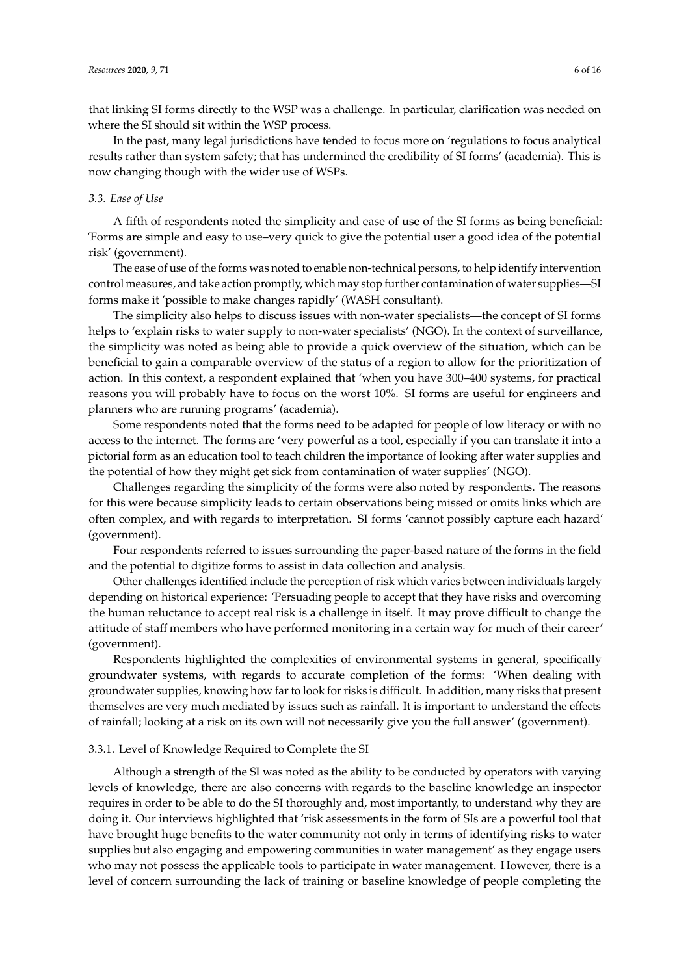that linking SI forms directly to the WSP was a challenge. In particular, clarification was needed on where the SI should sit within the WSP process.

In the past, many legal jurisdictions have tended to focus more on 'regulations to focus analytical results rather than system safety; that has undermined the credibility of SI forms' (academia). This is now changing though with the wider use of WSPs.

## *3.3. Ease of Use*

A fifth of respondents noted the simplicity and ease of use of the SI forms as being beneficial: 'Forms are simple and easy to use–very quick to give the potential user a good idea of the potential risk' (government).

The ease of use of the forms was noted to enable non-technical persons, to help identify intervention control measures, and take action promptly, which may stop further contamination of water supplies—SI forms make it 'possible to make changes rapidly' (WASH consultant).

The simplicity also helps to discuss issues with non-water specialists—the concept of SI forms helps to 'explain risks to water supply to non-water specialists' (NGO). In the context of surveillance, the simplicity was noted as being able to provide a quick overview of the situation, which can be beneficial to gain a comparable overview of the status of a region to allow for the prioritization of action. In this context, a respondent explained that 'when you have 300–400 systems, for practical reasons you will probably have to focus on the worst 10%. SI forms are useful for engineers and planners who are running programs' (academia).

Some respondents noted that the forms need to be adapted for people of low literacy or with no access to the internet. The forms are 'very powerful as a tool, especially if you can translate it into a pictorial form as an education tool to teach children the importance of looking after water supplies and the potential of how they might get sick from contamination of water supplies' (NGO).

Challenges regarding the simplicity of the forms were also noted by respondents. The reasons for this were because simplicity leads to certain observations being missed or omits links which are often complex, and with regards to interpretation. SI forms 'cannot possibly capture each hazard' (government).

Four respondents referred to issues surrounding the paper-based nature of the forms in the field and the potential to digitize forms to assist in data collection and analysis.

Other challenges identified include the perception of risk which varies between individuals largely depending on historical experience: 'Persuading people to accept that they have risks and overcoming the human reluctance to accept real risk is a challenge in itself. It may prove difficult to change the attitude of staff members who have performed monitoring in a certain way for much of their career' (government).

Respondents highlighted the complexities of environmental systems in general, specifically groundwater systems, with regards to accurate completion of the forms: 'When dealing with groundwater supplies, knowing how far to look for risks is difficult. In addition, many risks that present themselves are very much mediated by issues such as rainfall. It is important to understand the effects of rainfall; looking at a risk on its own will not necessarily give you the full answer' (government).

#### 3.3.1. Level of Knowledge Required to Complete the SI

Although a strength of the SI was noted as the ability to be conducted by operators with varying levels of knowledge, there are also concerns with regards to the baseline knowledge an inspector requires in order to be able to do the SI thoroughly and, most importantly, to understand why they are doing it. Our interviews highlighted that 'risk assessments in the form of SIs are a powerful tool that have brought huge benefits to the water community not only in terms of identifying risks to water supplies but also engaging and empowering communities in water management' as they engage users who may not possess the applicable tools to participate in water management. However, there is a level of concern surrounding the lack of training or baseline knowledge of people completing the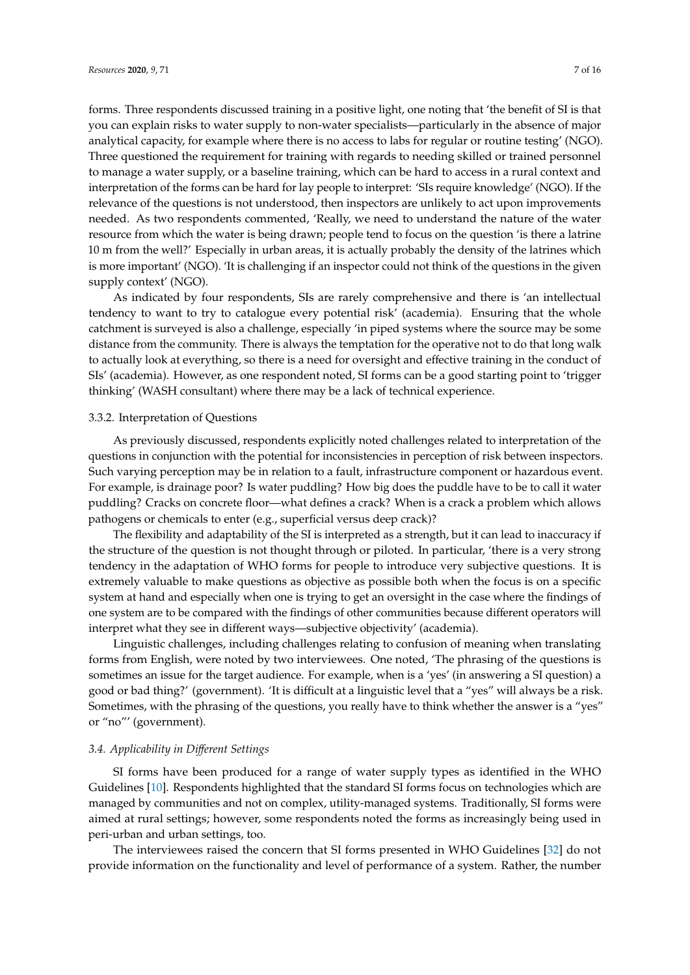forms. Three respondents discussed training in a positive light, one noting that 'the benefit of SI is that you can explain risks to water supply to non-water specialists—particularly in the absence of major analytical capacity, for example where there is no access to labs for regular or routine testing' (NGO). Three questioned the requirement for training with regards to needing skilled or trained personnel to manage a water supply, or a baseline training, which can be hard to access in a rural context and interpretation of the forms can be hard for lay people to interpret: 'SIs require knowledge' (NGO). If the relevance of the questions is not understood, then inspectors are unlikely to act upon improvements needed. As two respondents commented, 'Really, we need to understand the nature of the water resource from which the water is being drawn; people tend to focus on the question 'is there a latrine 10 m from the well?' Especially in urban areas, it is actually probably the density of the latrines which is more important' (NGO). 'It is challenging if an inspector could not think of the questions in the given supply context' (NGO).

As indicated by four respondents, SIs are rarely comprehensive and there is 'an intellectual tendency to want to try to catalogue every potential risk' (academia). Ensuring that the whole catchment is surveyed is also a challenge, especially 'in piped systems where the source may be some distance from the community. There is always the temptation for the operative not to do that long walk to actually look at everything, so there is a need for oversight and effective training in the conduct of SIs' (academia). However, as one respondent noted, SI forms can be a good starting point to 'trigger thinking' (WASH consultant) where there may be a lack of technical experience.

#### 3.3.2. Interpretation of Questions

As previously discussed, respondents explicitly noted challenges related to interpretation of the questions in conjunction with the potential for inconsistencies in perception of risk between inspectors. Such varying perception may be in relation to a fault, infrastructure component or hazardous event. For example, is drainage poor? Is water puddling? How big does the puddle have to be to call it water puddling? Cracks on concrete floor—what defines a crack? When is a crack a problem which allows pathogens or chemicals to enter (e.g., superficial versus deep crack)?

The flexibility and adaptability of the SI is interpreted as a strength, but it can lead to inaccuracy if the structure of the question is not thought through or piloted. In particular, 'there is a very strong tendency in the adaptation of WHO forms for people to introduce very subjective questions. It is extremely valuable to make questions as objective as possible both when the focus is on a specific system at hand and especially when one is trying to get an oversight in the case where the findings of one system are to be compared with the findings of other communities because different operators will interpret what they see in different ways—subjective objectivity' (academia).

Linguistic challenges, including challenges relating to confusion of meaning when translating forms from English, were noted by two interviewees. One noted, 'The phrasing of the questions is sometimes an issue for the target audience. For example, when is a 'yes' (in answering a SI question) a good or bad thing?' (government). 'It is difficult at a linguistic level that a "yes" will always be a risk. Sometimes, with the phrasing of the questions, you really have to think whether the answer is a "yes" or "no"' (government).

#### *3.4. Applicability in Di*ff*erent Settings*

SI forms have been produced for a range of water supply types as identified in the WHO Guidelines [\[10\]](#page-13-9). Respondents highlighted that the standard SI forms focus on technologies which are managed by communities and not on complex, utility-managed systems. Traditionally, SI forms were aimed at rural settings; however, some respondents noted the forms as increasingly being used in peri-urban and urban settings, too.

The interviewees raised the concern that SI forms presented in WHO Guidelines [\[32\]](#page-14-6) do not provide information on the functionality and level of performance of a system. Rather, the number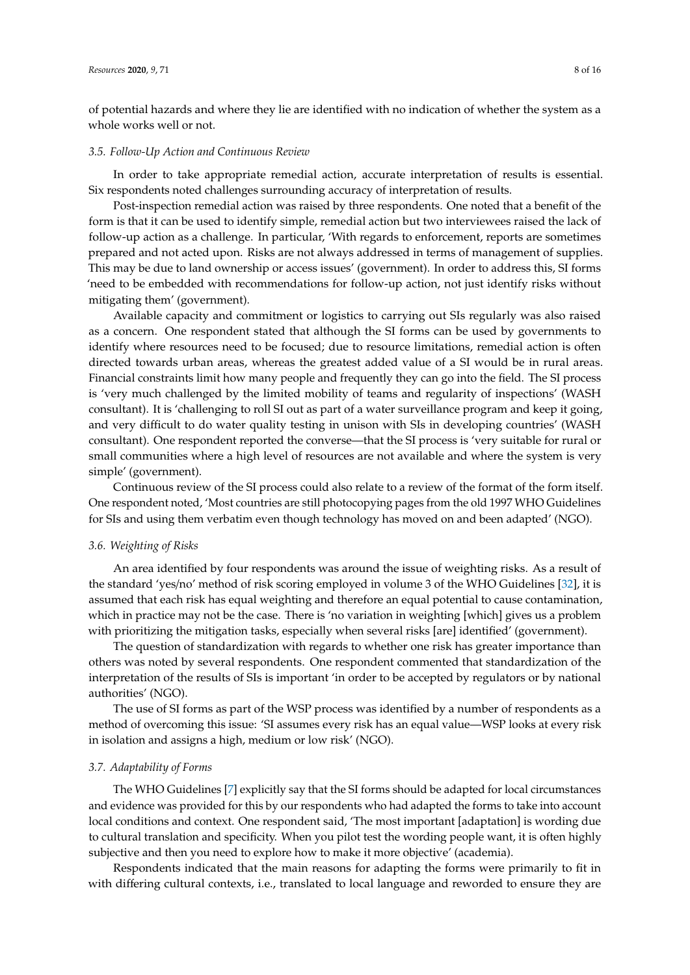of potential hazards and where they lie are identified with no indication of whether the system as a whole works well or not.

#### *3.5. Follow-Up Action and Continuous Review*

In order to take appropriate remedial action, accurate interpretation of results is essential. Six respondents noted challenges surrounding accuracy of interpretation of results.

Post-inspection remedial action was raised by three respondents. One noted that a benefit of the form is that it can be used to identify simple, remedial action but two interviewees raised the lack of follow-up action as a challenge. In particular, 'With regards to enforcement, reports are sometimes prepared and not acted upon. Risks are not always addressed in terms of management of supplies. This may be due to land ownership or access issues' (government). In order to address this, SI forms 'need to be embedded with recommendations for follow-up action, not just identify risks without mitigating them' (government).

Available capacity and commitment or logistics to carrying out SIs regularly was also raised as a concern. One respondent stated that although the SI forms can be used by governments to identify where resources need to be focused; due to resource limitations, remedial action is often directed towards urban areas, whereas the greatest added value of a SI would be in rural areas. Financial constraints limit how many people and frequently they can go into the field. The SI process is 'very much challenged by the limited mobility of teams and regularity of inspections' (WASH consultant). It is 'challenging to roll SI out as part of a water surveillance program and keep it going, and very difficult to do water quality testing in unison with SIs in developing countries' (WASH consultant). One respondent reported the converse—that the SI process is 'very suitable for rural or small communities where a high level of resources are not available and where the system is very simple' (government).

Continuous review of the SI process could also relate to a review of the format of the form itself. One respondent noted, 'Most countries are still photocopying pages from the old 1997 WHO Guidelines for SIs and using them verbatim even though technology has moved on and been adapted' (NGO).

#### *3.6. Weighting of Risks*

An area identified by four respondents was around the issue of weighting risks. As a result of the standard 'yes/no' method of risk scoring employed in volume 3 of the WHO Guidelines [\[32\]](#page-14-6), it is assumed that each risk has equal weighting and therefore an equal potential to cause contamination, which in practice may not be the case. There is 'no variation in weighting [which] gives us a problem with prioritizing the mitigation tasks, especially when several risks [are] identified' (government).

The question of standardization with regards to whether one risk has greater importance than others was noted by several respondents. One respondent commented that standardization of the interpretation of the results of SIs is important 'in order to be accepted by regulators or by national authorities' (NGO).

The use of SI forms as part of the WSP process was identified by a number of respondents as a method of overcoming this issue: 'SI assumes every risk has an equal value—WSP looks at every risk in isolation and assigns a high, medium or low risk' (NGO).

# *3.7. Adaptability of Forms*

The WHO Guidelines [\[7\]](#page-13-6) explicitly say that the SI forms should be adapted for local circumstances and evidence was provided for this by our respondents who had adapted the forms to take into account local conditions and context. One respondent said, 'The most important [adaptation] is wording due to cultural translation and specificity. When you pilot test the wording people want, it is often highly subjective and then you need to explore how to make it more objective' (academia).

Respondents indicated that the main reasons for adapting the forms were primarily to fit in with differing cultural contexts, i.e., translated to local language and reworded to ensure they are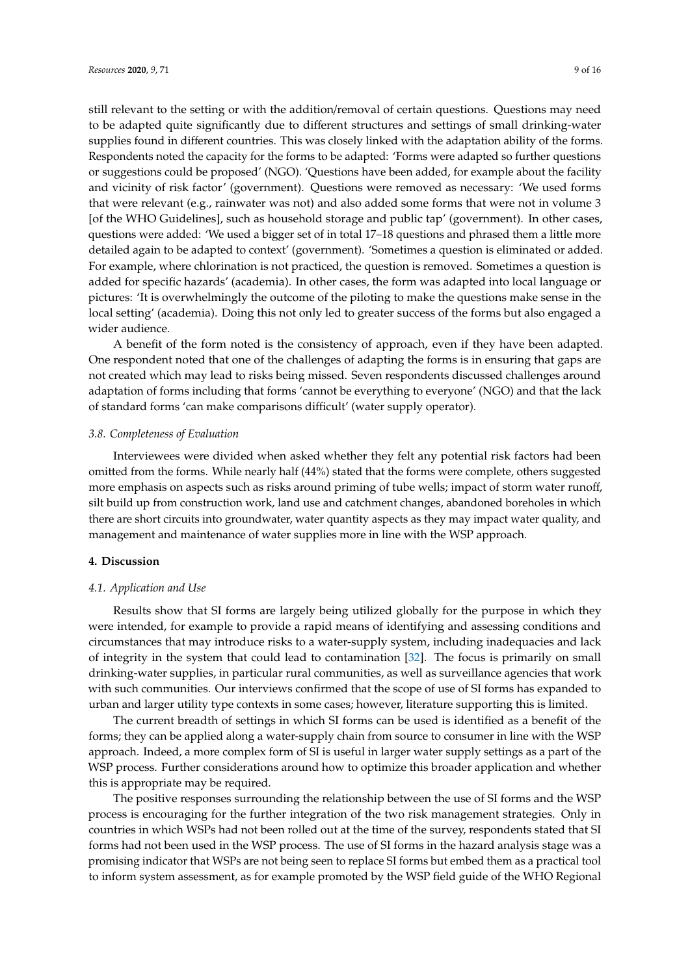still relevant to the setting or with the addition/removal of certain questions. Questions may need to be adapted quite significantly due to different structures and settings of small drinking-water supplies found in different countries. This was closely linked with the adaptation ability of the forms. Respondents noted the capacity for the forms to be adapted: 'Forms were adapted so further questions or suggestions could be proposed' (NGO). 'Questions have been added, for example about the facility and vicinity of risk factor' (government). Questions were removed as necessary: 'We used forms that were relevant (e.g., rainwater was not) and also added some forms that were not in volume 3 [of the WHO Guidelines], such as household storage and public tap' (government). In other cases, questions were added: 'We used a bigger set of in total 17–18 questions and phrased them a little more detailed again to be adapted to context' (government). 'Sometimes a question is eliminated or added. For example, where chlorination is not practiced, the question is removed. Sometimes a question is added for specific hazards' (academia). In other cases, the form was adapted into local language or pictures: 'It is overwhelmingly the outcome of the piloting to make the questions make sense in the local setting' (academia). Doing this not only led to greater success of the forms but also engaged a wider audience.

A benefit of the form noted is the consistency of approach, even if they have been adapted. One respondent noted that one of the challenges of adapting the forms is in ensuring that gaps are not created which may lead to risks being missed. Seven respondents discussed challenges around adaptation of forms including that forms 'cannot be everything to everyone' (NGO) and that the lack of standard forms 'can make comparisons difficult' (water supply operator).

#### *3.8. Completeness of Evaluation*

Interviewees were divided when asked whether they felt any potential risk factors had been omitted from the forms. While nearly half (44%) stated that the forms were complete, others suggested more emphasis on aspects such as risks around priming of tube wells; impact of storm water runoff, silt build up from construction work, land use and catchment changes, abandoned boreholes in which there are short circuits into groundwater, water quantity aspects as they may impact water quality, and management and maintenance of water supplies more in line with the WSP approach.

# **4. Discussion**

# *4.1. Application and Use*

Results show that SI forms are largely being utilized globally for the purpose in which they were intended, for example to provide a rapid means of identifying and assessing conditions and circumstances that may introduce risks to a water-supply system, including inadequacies and lack of integrity in the system that could lead to contamination [\[32\]](#page-14-6). The focus is primarily on small drinking-water supplies, in particular rural communities, as well as surveillance agencies that work with such communities. Our interviews confirmed that the scope of use of SI forms has expanded to urban and larger utility type contexts in some cases; however, literature supporting this is limited.

The current breadth of settings in which SI forms can be used is identified as a benefit of the forms; they can be applied along a water-supply chain from source to consumer in line with the WSP approach. Indeed, a more complex form of SI is useful in larger water supply settings as a part of the WSP process. Further considerations around how to optimize this broader application and whether this is appropriate may be required.

The positive responses surrounding the relationship between the use of SI forms and the WSP process is encouraging for the further integration of the two risk management strategies. Only in countries in which WSPs had not been rolled out at the time of the survey, respondents stated that SI forms had not been used in the WSP process. The use of SI forms in the hazard analysis stage was a promising indicator that WSPs are not being seen to replace SI forms but embed them as a practical tool to inform system assessment, as for example promoted by the WSP field guide of the WHO Regional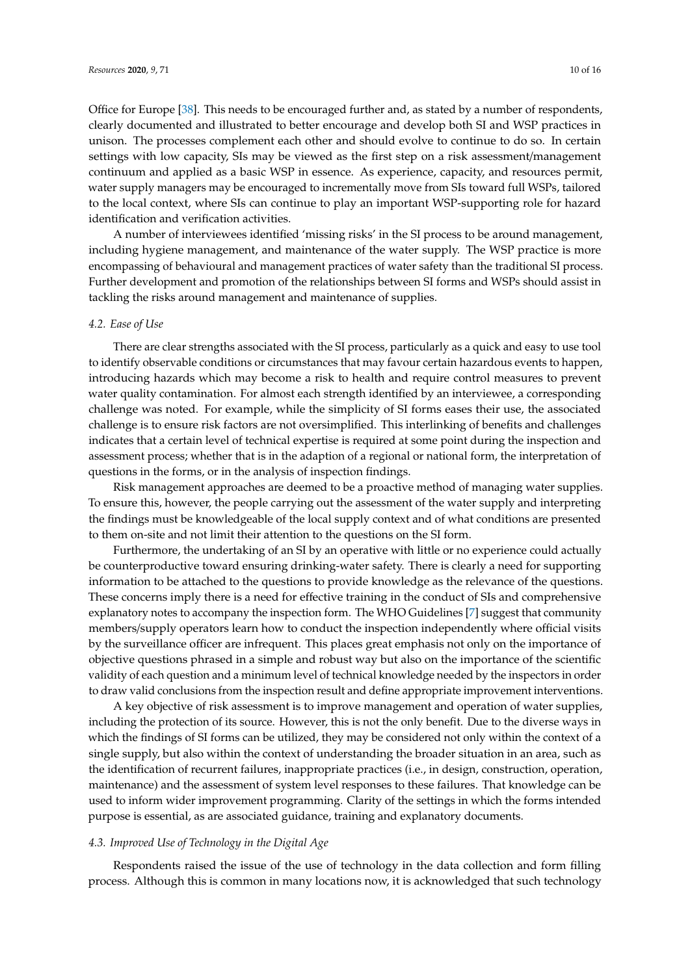Office for Europe [\[38\]](#page-14-12). This needs to be encouraged further and, as stated by a number of respondents, clearly documented and illustrated to better encourage and develop both SI and WSP practices in unison. The processes complement each other and should evolve to continue to do so. In certain settings with low capacity, SIs may be viewed as the first step on a risk assessment/management continuum and applied as a basic WSP in essence. As experience, capacity, and resources permit, water supply managers may be encouraged to incrementally move from SIs toward full WSPs, tailored to the local context, where SIs can continue to play an important WSP-supporting role for hazard identification and verification activities.

A number of interviewees identified 'missing risks' in the SI process to be around management, including hygiene management, and maintenance of the water supply. The WSP practice is more encompassing of behavioural and management practices of water safety than the traditional SI process. Further development and promotion of the relationships between SI forms and WSPs should assist in tackling the risks around management and maintenance of supplies.

## *4.2. Ease of Use*

There are clear strengths associated with the SI process, particularly as a quick and easy to use tool to identify observable conditions or circumstances that may favour certain hazardous events to happen, introducing hazards which may become a risk to health and require control measures to prevent water quality contamination. For almost each strength identified by an interviewee, a corresponding challenge was noted. For example, while the simplicity of SI forms eases their use, the associated challenge is to ensure risk factors are not oversimplified. This interlinking of benefits and challenges indicates that a certain level of technical expertise is required at some point during the inspection and assessment process; whether that is in the adaption of a regional or national form, the interpretation of questions in the forms, or in the analysis of inspection findings.

Risk management approaches are deemed to be a proactive method of managing water supplies. To ensure this, however, the people carrying out the assessment of the water supply and interpreting the findings must be knowledgeable of the local supply context and of what conditions are presented to them on-site and not limit their attention to the questions on the SI form.

Furthermore, the undertaking of an SI by an operative with little or no experience could actually be counterproductive toward ensuring drinking-water safety. There is clearly a need for supporting information to be attached to the questions to provide knowledge as the relevance of the questions. These concerns imply there is a need for effective training in the conduct of SIs and comprehensive explanatory notes to accompany the inspection form. The WHO Guidelines [\[7\]](#page-13-6) suggest that community members/supply operators learn how to conduct the inspection independently where official visits by the surveillance officer are infrequent. This places great emphasis not only on the importance of objective questions phrased in a simple and robust way but also on the importance of the scientific validity of each question and a minimum level of technical knowledge needed by the inspectors in order to draw valid conclusions from the inspection result and define appropriate improvement interventions.

A key objective of risk assessment is to improve management and operation of water supplies, including the protection of its source. However, this is not the only benefit. Due to the diverse ways in which the findings of SI forms can be utilized, they may be considered not only within the context of a single supply, but also within the context of understanding the broader situation in an area, such as the identification of recurrent failures, inappropriate practices (i.e., in design, construction, operation, maintenance) and the assessment of system level responses to these failures. That knowledge can be used to inform wider improvement programming. Clarity of the settings in which the forms intended purpose is essential, as are associated guidance, training and explanatory documents.

# *4.3. Improved Use of Technology in the Digital Age*

Respondents raised the issue of the use of technology in the data collection and form filling process. Although this is common in many locations now, it is acknowledged that such technology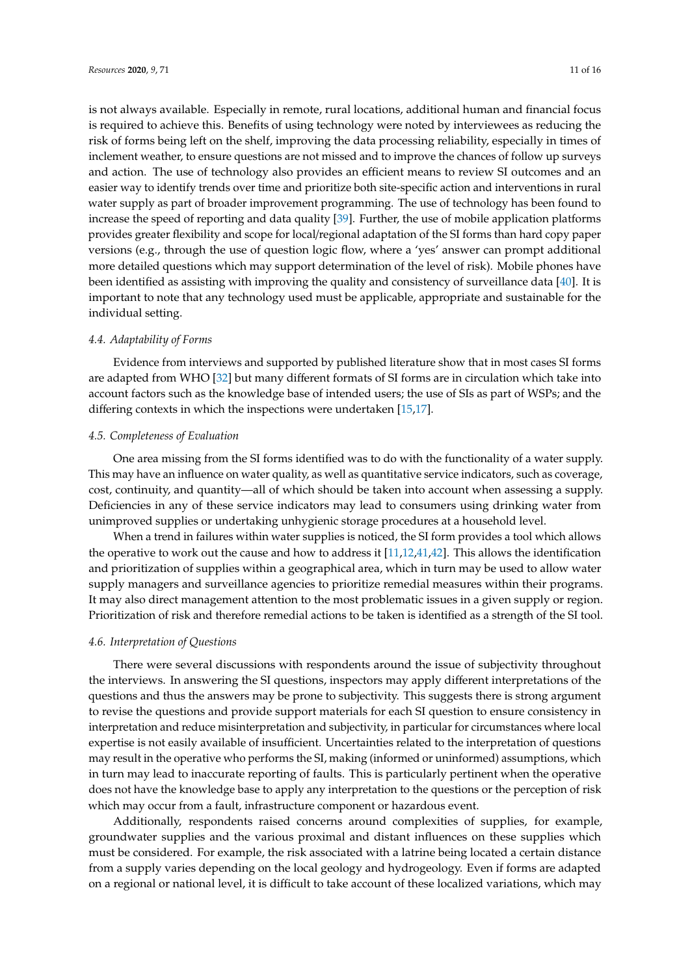is not always available. Especially in remote, rural locations, additional human and financial focus is required to achieve this. Benefits of using technology were noted by interviewees as reducing the risk of forms being left on the shelf, improving the data processing reliability, especially in times of inclement weather, to ensure questions are not missed and to improve the chances of follow up surveys and action. The use of technology also provides an efficient means to review SI outcomes and an easier way to identify trends over time and prioritize both site-specific action and interventions in rural water supply as part of broader improvement programming. The use of technology has been found to increase the speed of reporting and data quality [\[39\]](#page-14-13). Further, the use of mobile application platforms provides greater flexibility and scope for local/regional adaptation of the SI forms than hard copy paper versions (e.g., through the use of question logic flow, where a 'yes' answer can prompt additional more detailed questions which may support determination of the level of risk). Mobile phones have been identified as assisting with improving the quality and consistency of surveillance data [\[40\]](#page-14-14). It is important to note that any technology used must be applicable, appropriate and sustainable for the individual setting.

# *4.4. Adaptability of Forms*

Evidence from interviews and supported by published literature show that in most cases SI forms are adapted from WHO [\[32\]](#page-14-6) but many different formats of SI forms are in circulation which take into account factors such as the knowledge base of intended users; the use of SIs as part of WSPs; and the differing contexts in which the inspections were undertaken [\[15,](#page-13-14)[17\]](#page-13-16).

# *4.5. Completeness of Evaluation*

One area missing from the SI forms identified was to do with the functionality of a water supply. This may have an influence on water quality, as well as quantitative service indicators, such as coverage, cost, continuity, and quantity—all of which should be taken into account when assessing a supply. Deficiencies in any of these service indicators may lead to consumers using drinking water from unimproved supplies or undertaking unhygienic storage procedures at a household level.

When a trend in failures within water supplies is noticed, the SI form provides a tool which allows the operative to work out the cause and how to address it [\[11](#page-13-10)[,12,](#page-13-11)[41,](#page-14-15)[42\]](#page-14-16). This allows the identification and prioritization of supplies within a geographical area, which in turn may be used to allow water supply managers and surveillance agencies to prioritize remedial measures within their programs. It may also direct management attention to the most problematic issues in a given supply or region. Prioritization of risk and therefore remedial actions to be taken is identified as a strength of the SI tool.

#### *4.6. Interpretation of Questions*

There were several discussions with respondents around the issue of subjectivity throughout the interviews. In answering the SI questions, inspectors may apply different interpretations of the questions and thus the answers may be prone to subjectivity. This suggests there is strong argument to revise the questions and provide support materials for each SI question to ensure consistency in interpretation and reduce misinterpretation and subjectivity, in particular for circumstances where local expertise is not easily available of insufficient. Uncertainties related to the interpretation of questions may result in the operative who performs the SI, making (informed or uninformed) assumptions, which in turn may lead to inaccurate reporting of faults. This is particularly pertinent when the operative does not have the knowledge base to apply any interpretation to the questions or the perception of risk which may occur from a fault, infrastructure component or hazardous event.

Additionally, respondents raised concerns around complexities of supplies, for example, groundwater supplies and the various proximal and distant influences on these supplies which must be considered. For example, the risk associated with a latrine being located a certain distance from a supply varies depending on the local geology and hydrogeology. Even if forms are adapted on a regional or national level, it is difficult to take account of these localized variations, which may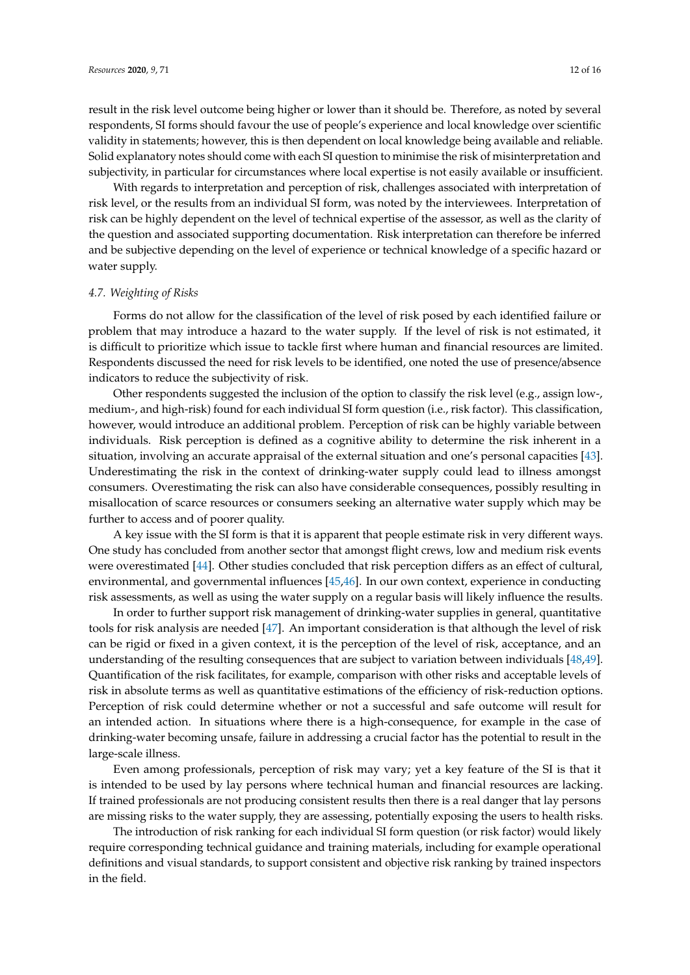result in the risk level outcome being higher or lower than it should be. Therefore, as noted by several respondents, SI forms should favour the use of people's experience and local knowledge over scientific validity in statements; however, this is then dependent on local knowledge being available and reliable. Solid explanatory notes should come with each SI question to minimise the risk of misinterpretation and subjectivity, in particular for circumstances where local expertise is not easily available or insufficient.

With regards to interpretation and perception of risk, challenges associated with interpretation of risk level, or the results from an individual SI form, was noted by the interviewees. Interpretation of risk can be highly dependent on the level of technical expertise of the assessor, as well as the clarity of the question and associated supporting documentation. Risk interpretation can therefore be inferred and be subjective depending on the level of experience or technical knowledge of a specific hazard or water supply.

# *4.7. Weighting of Risks*

Forms do not allow for the classification of the level of risk posed by each identified failure or problem that may introduce a hazard to the water supply. If the level of risk is not estimated, it is difficult to prioritize which issue to tackle first where human and financial resources are limited. Respondents discussed the need for risk levels to be identified, one noted the use of presence/absence indicators to reduce the subjectivity of risk.

Other respondents suggested the inclusion of the option to classify the risk level (e.g., assign low-, medium-, and high-risk) found for each individual SI form question (i.e., risk factor). This classification, however, would introduce an additional problem. Perception of risk can be highly variable between individuals. Risk perception is defined as a cognitive ability to determine the risk inherent in a situation, involving an accurate appraisal of the external situation and one's personal capacities [\[43\]](#page-15-0). Underestimating the risk in the context of drinking-water supply could lead to illness amongst consumers. Overestimating the risk can also have considerable consequences, possibly resulting in misallocation of scarce resources or consumers seeking an alternative water supply which may be further to access and of poorer quality.

A key issue with the SI form is that it is apparent that people estimate risk in very different ways. One study has concluded from another sector that amongst flight crews, low and medium risk events were overestimated [\[44\]](#page-15-1). Other studies concluded that risk perception differs as an effect of cultural, environmental, and governmental influences [\[45](#page-15-2)[,46\]](#page-15-3). In our own context, experience in conducting risk assessments, as well as using the water supply on a regular basis will likely influence the results.

In order to further support risk management of drinking-water supplies in general, quantitative tools for risk analysis are needed [\[47\]](#page-15-4). An important consideration is that although the level of risk can be rigid or fixed in a given context, it is the perception of the level of risk, acceptance, and an understanding of the resulting consequences that are subject to variation between individuals [\[48](#page-15-5)[,49\]](#page-15-6). Quantification of the risk facilitates, for example, comparison with other risks and acceptable levels of risk in absolute terms as well as quantitative estimations of the efficiency of risk-reduction options. Perception of risk could determine whether or not a successful and safe outcome will result for an intended action. In situations where there is a high-consequence, for example in the case of drinking-water becoming unsafe, failure in addressing a crucial factor has the potential to result in the large-scale illness.

Even among professionals, perception of risk may vary; yet a key feature of the SI is that it is intended to be used by lay persons where technical human and financial resources are lacking. If trained professionals are not producing consistent results then there is a real danger that lay persons are missing risks to the water supply, they are assessing, potentially exposing the users to health risks.

The introduction of risk ranking for each individual SI form question (or risk factor) would likely require corresponding technical guidance and training materials, including for example operational definitions and visual standards, to support consistent and objective risk ranking by trained inspectors in the field.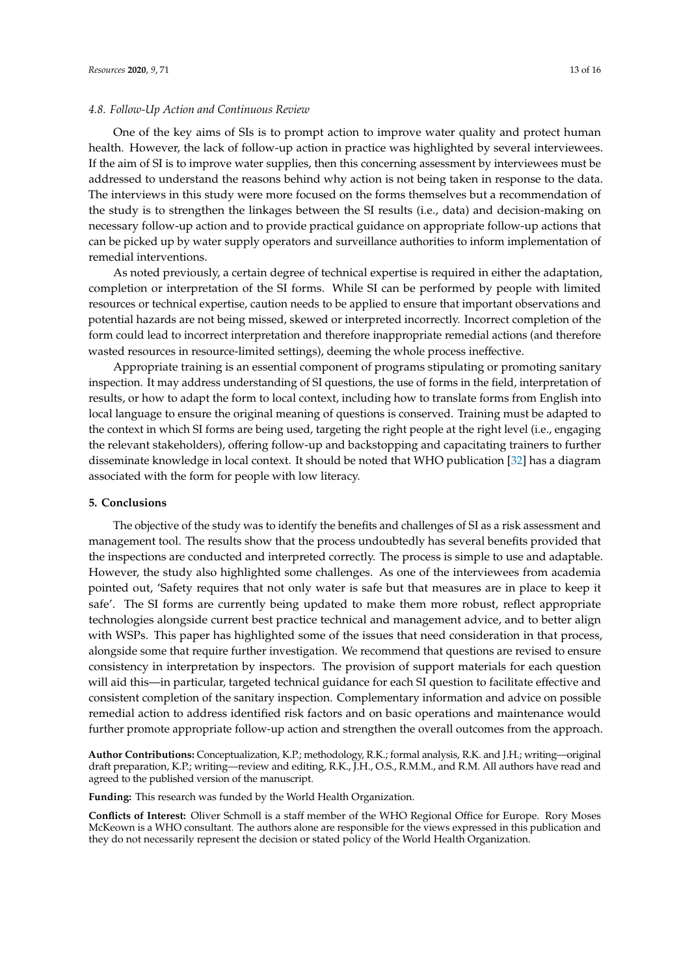## *4.8. Follow-Up Action and Continuous Review*

One of the key aims of SIs is to prompt action to improve water quality and protect human health. However, the lack of follow-up action in practice was highlighted by several interviewees. If the aim of SI is to improve water supplies, then this concerning assessment by interviewees must be addressed to understand the reasons behind why action is not being taken in response to the data. The interviews in this study were more focused on the forms themselves but a recommendation of the study is to strengthen the linkages between the SI results (i.e., data) and decision-making on necessary follow-up action and to provide practical guidance on appropriate follow-up actions that can be picked up by water supply operators and surveillance authorities to inform implementation of remedial interventions.

As noted previously, a certain degree of technical expertise is required in either the adaptation, completion or interpretation of the SI forms. While SI can be performed by people with limited resources or technical expertise, caution needs to be applied to ensure that important observations and potential hazards are not being missed, skewed or interpreted incorrectly. Incorrect completion of the form could lead to incorrect interpretation and therefore inappropriate remedial actions (and therefore wasted resources in resource-limited settings), deeming the whole process ineffective.

Appropriate training is an essential component of programs stipulating or promoting sanitary inspection. It may address understanding of SI questions, the use of forms in the field, interpretation of results, or how to adapt the form to local context, including how to translate forms from English into local language to ensure the original meaning of questions is conserved. Training must be adapted to the context in which SI forms are being used, targeting the right people at the right level (i.e., engaging the relevant stakeholders), offering follow-up and backstopping and capacitating trainers to further disseminate knowledge in local context. It should be noted that WHO publication [\[32\]](#page-14-6) has a diagram associated with the form for people with low literacy.

# **5. Conclusions**

The objective of the study was to identify the benefits and challenges of SI as a risk assessment and management tool. The results show that the process undoubtedly has several benefits provided that the inspections are conducted and interpreted correctly. The process is simple to use and adaptable. However, the study also highlighted some challenges. As one of the interviewees from academia pointed out, 'Safety requires that not only water is safe but that measures are in place to keep it safe'. The SI forms are currently being updated to make them more robust, reflect appropriate technologies alongside current best practice technical and management advice, and to better align with WSPs. This paper has highlighted some of the issues that need consideration in that process, alongside some that require further investigation. We recommend that questions are revised to ensure consistency in interpretation by inspectors. The provision of support materials for each question will aid this—in particular, targeted technical guidance for each SI question to facilitate effective and consistent completion of the sanitary inspection. Complementary information and advice on possible remedial action to address identified risk factors and on basic operations and maintenance would further promote appropriate follow-up action and strengthen the overall outcomes from the approach.

**Author Contributions:** Conceptualization, K.P.; methodology, R.K.; formal analysis, R.K. and J.H.; writing—original draft preparation, K.P.; writing—review and editing, R.K., J.H., O.S., R.M.M., and R.M. All authors have read and agreed to the published version of the manuscript.

**Funding:** This research was funded by the World Health Organization.

**Conflicts of Interest:** Oliver Schmoll is a staff member of the WHO Regional Office for Europe. Rory Moses McKeown is a WHO consultant. The authors alone are responsible for the views expressed in this publication and they do not necessarily represent the decision or stated policy of the World Health Organization.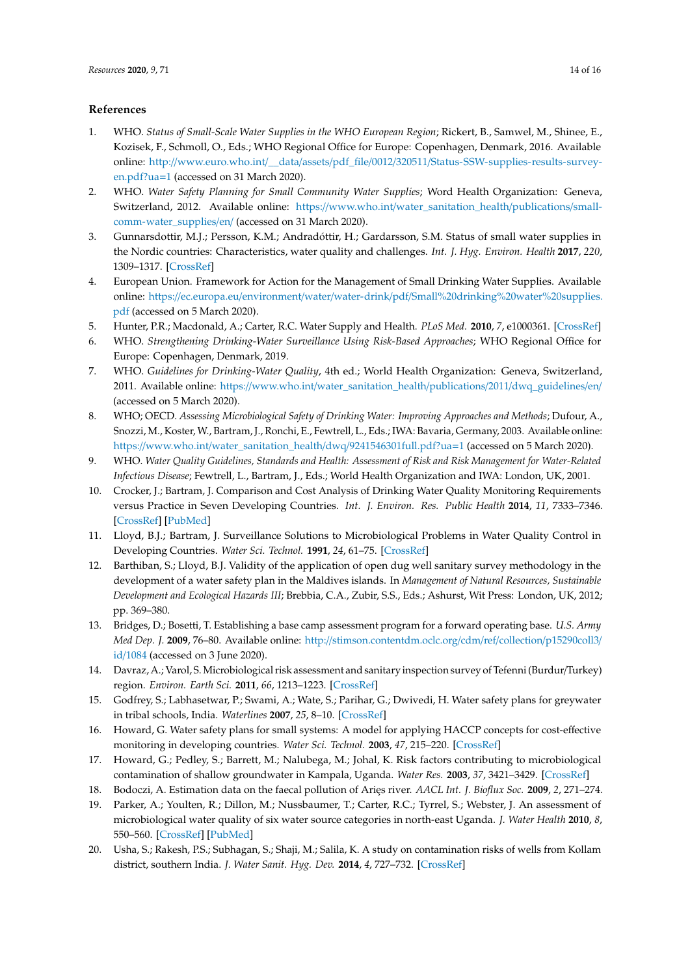# **References**

- <span id="page-13-0"></span>1. WHO. *Status of Small-Scale Water Supplies in the WHO European Region*; Rickert, B., Samwel, M., Shinee, E., Kozisek, F., Schmoll, O., Eds.; WHO Regional Office for Europe: Copenhagen, Denmark, 2016. Available online: http://www.euro.who.int/\_\_data/assets/pdf\_file/0012/320511/[Status-SSW-supplies-results-survey](http://www.euro.who.int/__data/assets/pdf_file/0012/320511/Status-SSW-supplies-results-survey-en.pdf?ua=1)[en.pdf?ua](http://www.euro.who.int/__data/assets/pdf_file/0012/320511/Status-SSW-supplies-results-survey-en.pdf?ua=1)=1 (accessed on 31 March 2020).
- <span id="page-13-1"></span>2. WHO. *Water Safety Planning for Small Community Water Supplies*; Word Health Organization: Geneva, Switzerland, 2012. Available online: https://www.who.int/[water\\_sanitation\\_health](https://www.who.int/water_sanitation_health/publications/small-comm-water_supplies/en/)/publications/small[comm-water\\_supplies](https://www.who.int/water_sanitation_health/publications/small-comm-water_supplies/en/)/en/ (accessed on 31 March 2020).
- <span id="page-13-2"></span>3. Gunnarsdottir, M.J.; Persson, K.M.; Andradóttir, H.; Gardarsson, S.M. Status of small water supplies in the Nordic countries: Characteristics, water quality and challenges. *Int. J. Hyg. Environ. Health* **2017**, *220*, 1309–1317. [\[CrossRef\]](http://dx.doi.org/10.1016/j.ijheh.2017.08.006)
- <span id="page-13-3"></span>4. European Union. Framework for Action for the Management of Small Drinking Water Supplies. Available online: https://ec.europa.eu/environment/water/water-drink/pdf/[Small%20drinking%20water%20supplies.](https://ec.europa.eu/environment/water/water-drink/pdf/Small%20drinking%20water%20supplies.pdf) [pdf](https://ec.europa.eu/environment/water/water-drink/pdf/Small%20drinking%20water%20supplies.pdf) (accessed on 5 March 2020).
- <span id="page-13-4"></span>5. Hunter, P.R.; Macdonald, A.; Carter, R.C. Water Supply and Health. *PLoS Med.* **2010**, *7*, e1000361. [\[CrossRef\]](http://dx.doi.org/10.1371/journal.pmed.1000361)
- <span id="page-13-5"></span>6. WHO. *Strengthening Drinking-Water Surveillance Using Risk-Based Approaches*; WHO Regional Office for Europe: Copenhagen, Denmark, 2019.
- <span id="page-13-6"></span>7. WHO. *Guidelines for Drinking-Water Quality*, 4th ed.; World Health Organization: Geneva, Switzerland, 2011. Available online: https://www.who.int/[water\\_sanitation\\_health](https://www.who.int/water_sanitation_health/publications/2011/dwq_guidelines/en/)/publications/2011/dwq\_guidelines/en/ (accessed on 5 March 2020).
- <span id="page-13-7"></span>8. WHO; OECD. *Assessing Microbiological Safety of Drinking Water: Improving Approaches and Methods*; Dufour, A., Snozzi, M., Koster, W., Bartram, J., Ronchi, E., Fewtrell, L., Eds.; IWA: Bavaria, Germany, 2003. Available online: https://www.who.int/[water\\_sanitation\\_health](https://www.who.int/water_sanitation_health/dwq/9241546301full.pdf?ua=1)/dwq/9241546301full.pdf?ua=1 (accessed on 5 March 2020).
- <span id="page-13-8"></span>9. WHO. *Water Quality Guidelines, Standards and Health: Assessment of Risk and Risk Management for Water-Related Infectious Disease*; Fewtrell, L., Bartram, J., Eds.; World Health Organization and IWA: London, UK, 2001.
- <span id="page-13-9"></span>10. Crocker, J.; Bartram, J. Comparison and Cost Analysis of Drinking Water Quality Monitoring Requirements versus Practice in Seven Developing Countries. *Int. J. Environ. Res. Public Health* **2014**, *11*, 7333–7346. [\[CrossRef\]](http://dx.doi.org/10.3390/ijerph110707333) [\[PubMed\]](http://www.ncbi.nlm.nih.gov/pubmed/25046632)
- <span id="page-13-10"></span>11. Lloyd, B.J.; Bartram, J. Surveillance Solutions to Microbiological Problems in Water Quality Control in Developing Countries. *Water Sci. Technol.* **1991**, *24*, 61–75. [\[CrossRef\]](http://dx.doi.org/10.2166/wst.1991.0031)
- <span id="page-13-11"></span>12. Barthiban, S.; Lloyd, B.J. Validity of the application of open dug well sanitary survey methodology in the development of a water safety plan in the Maldives islands. In *Management of Natural Resources, Sustainable Development and Ecological Hazards III*; Brebbia, C.A., Zubir, S.S., Eds.; Ashurst, Wit Press: London, UK, 2012; pp. 369–380.
- <span id="page-13-12"></span>13. Bridges, D.; Bosetti, T. Establishing a base camp assessment program for a forward operating base. *U.S. Army Med Dep. J.* **2009**, 76–80. Available online: http://[stimson.contentdm.oclc.org](http://stimson.contentdm.oclc.org/cdm/ref/collection/p15290coll3/id/1084)/cdm/ref/collection/p15290coll3/ id/[1084](http://stimson.contentdm.oclc.org/cdm/ref/collection/p15290coll3/id/1084) (accessed on 3 June 2020).
- <span id="page-13-13"></span>14. Davraz, A.; Varol, S.Microbiological risk assessment and sanitary inspection survey of Tefenni (Burdur/Turkey) region. *Environ. Earth Sci.* **2011**, *66*, 1213–1223. [\[CrossRef\]](http://dx.doi.org/10.1007/s12665-011-1332-1)
- <span id="page-13-14"></span>15. Godfrey, S.; Labhasetwar, P.; Swami, A.; Wate, S.; Parihar, G.; Dwivedi, H. Water safety plans for greywater in tribal schools, India. *Waterlines* **2007**, *25*, 8–10. [\[CrossRef\]](http://dx.doi.org/10.3362/0262-8104.2007.003)
- <span id="page-13-15"></span>16. Howard, G. Water safety plans for small systems: A model for applying HACCP concepts for cost-effective monitoring in developing countries. *Water Sci. Technol.* **2003**, *47*, 215–220. [\[CrossRef\]](http://dx.doi.org/10.2166/wst.2003.0198)
- <span id="page-13-16"></span>17. Howard, G.; Pedley, S.; Barrett, M.; Nalubega, M.; Johal, K. Risk factors contributing to microbiological contamination of shallow groundwater in Kampala, Uganda. *Water Res.* **2003**, *37*, 3421–3429. [\[CrossRef\]](http://dx.doi.org/10.1016/S0043-1354(03)00235-5)
- 18. Bodoczi, A. Estimation data on the faecal pollution of Aries river. *AACL Int. J. Bioflux Soc.* **2009**, 2, 271–274.
- 19. Parker, A.; Youlten, R.; Dillon, M.; Nussbaumer, T.; Carter, R.C.; Tyrrel, S.; Webster, J. An assessment of microbiological water quality of six water source categories in north-east Uganda. *J. Water Health* **2010**, *8*, 550–560. [\[CrossRef\]](http://dx.doi.org/10.2166/wh.2010.128) [\[PubMed\]](http://www.ncbi.nlm.nih.gov/pubmed/20375484)
- 20. Usha, S.; Rakesh, P.S.; Subhagan, S.; Shaji, M.; Salila, K. A study on contamination risks of wells from Kollam district, southern India. *J. Water Sanit. Hyg. Dev.* **2014**, *4*, 727–732. [\[CrossRef\]](http://dx.doi.org/10.2166/washdev.2014.151)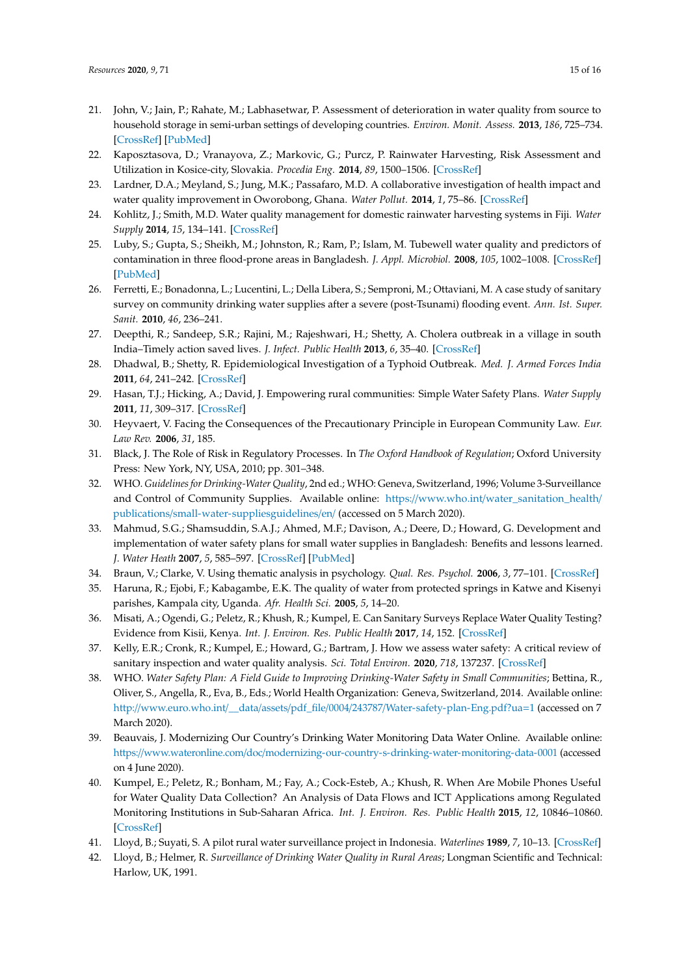- 21. John, V.; Jain, P.; Rahate, M.; Labhasetwar, P. Assessment of deterioration in water quality from source to household storage in semi-urban settings of developing countries. *Environ. Monit. Assess.* **2013**, *186*, 725–734. [\[CrossRef\]](http://dx.doi.org/10.1007/s10661-013-3412-z) [\[PubMed\]](http://www.ncbi.nlm.nih.gov/pubmed/24048880)
- 22. Kaposztasova, D.; Vranayova, Z.; Markovic, G.; Purcz, P. Rainwater Harvesting, Risk Assessment and Utilization in Kosice-city, Slovakia. *Procedia Eng.* **2014**, *89*, 1500–1506. [\[CrossRef\]](http://dx.doi.org/10.1016/j.proeng.2014.11.439)
- 23. Lardner, D.A.; Meyland, S.; Jung, M.K.; Passafaro, M.D. A collaborative investigation of health impact and water quality improvement in Oworobong, Ghana. *Water Pollut.* **2014**, *1*, 75–86. [\[CrossRef\]](http://dx.doi.org/10.2495/wp140071)
- 24. Kohlitz, J.; Smith, M.D. Water quality management for domestic rainwater harvesting systems in Fiji. *Water Supply* **2014**, *15*, 134–141. [\[CrossRef\]](http://dx.doi.org/10.2166/ws.2014.093)
- 25. Luby, S.; Gupta, S.; Sheikh, M.; Johnston, R.; Ram, P.; Islam, M. Tubewell water quality and predictors of contamination in three flood-prone areas in Bangladesh. *J. Appl. Microbiol.* **2008**, *105*, 1002–1008. [\[CrossRef\]](http://dx.doi.org/10.1111/j.1365-2672.2008.03826.x) [\[PubMed\]](http://www.ncbi.nlm.nih.gov/pubmed/18422953)
- <span id="page-14-0"></span>26. Ferretti, E.; Bonadonna, L.; Lucentini, L.; Della Libera, S.; Semproni, M.; Ottaviani, M. A case study of sanitary survey on community drinking water supplies after a severe (post-Tsunami) flooding event. *Ann. Ist. Super. Sanit.* **2010**, *46*, 236–241.
- <span id="page-14-1"></span>27. Deepthi, R.; Sandeep, S.R.; Rajini, M.; Rajeshwari, H.; Shetty, A. Cholera outbreak in a village in south India–Timely action saved lives. *J. Infect. Public Health* **2013**, *6*, 35–40. [\[CrossRef\]](http://dx.doi.org/10.1016/j.jiph.2012.05.003)
- <span id="page-14-2"></span>28. Dhadwal, B.; Shetty, R. Epidemiological Investigation of a Typhoid Outbreak. *Med. J. Armed Forces India* **2011**, *64*, 241–242. [\[CrossRef\]](http://dx.doi.org/10.1016/S0377-1237(08)80103-7)
- <span id="page-14-3"></span>29. Hasan, T.J.; Hicking, A.; David, J. Empowering rural communities: Simple Water Safety Plans. *Water Supply* **2011**, *11*, 309–317. [\[CrossRef\]](http://dx.doi.org/10.2166/ws.2011.051)
- <span id="page-14-4"></span>30. Heyvaert, V. Facing the Consequences of the Precautionary Principle in European Community Law. *Eur. Law Rev.* **2006**, *31*, 185.
- <span id="page-14-5"></span>31. Black, J. The Role of Risk in Regulatory Processes. In *The Oxford Handbook of Regulation*; Oxford University Press: New York, NY, USA, 2010; pp. 301–348.
- <span id="page-14-6"></span>32. WHO. *Guidelines for Drinking-Water Quality*, 2nd ed.; WHO: Geneva, Switzerland, 1996; Volume 3-Surveillance and Control of Community Supplies. Available online: https://www.who.int/[water\\_sanitation\\_health](https://www.who.int/water_sanitation_health/publications/small-water-supplies guidelines/en/)/ publications/[small-water-suppliesguidelines](https://www.who.int/water_sanitation_health/publications/small-water-supplies guidelines/en/)/en/ (accessed on 5 March 2020).
- <span id="page-14-7"></span>33. Mahmud, S.G.; Shamsuddin, S.A.J.; Ahmed, M.F.; Davison, A.; Deere, D.; Howard, G. Development and implementation of water safety plans for small water supplies in Bangladesh: Benefits and lessons learned. *J. Water Heath* **2007**, *5*, 585–597. [\[CrossRef\]](http://dx.doi.org/10.2166/wh.2007.045) [\[PubMed\]](http://www.ncbi.nlm.nih.gov/pubmed/17878569)
- <span id="page-14-8"></span>34. Braun, V.; Clarke, V. Using thematic analysis in psychology. *Qual. Res. Psychol.* **2006**, *3*, 77–101. [\[CrossRef\]](http://dx.doi.org/10.1191/1478088706qp063oa)
- <span id="page-14-9"></span>35. Haruna, R.; Ejobi, F.; Kabagambe, E.K. The quality of water from protected springs in Katwe and Kisenyi parishes, Kampala city, Uganda. *Afr. Health Sci.* **2005**, *5*, 14–20.
- <span id="page-14-10"></span>36. Misati, A.; Ogendi, G.; Peletz, R.; Khush, R.; Kumpel, E. Can Sanitary Surveys Replace Water Quality Testing? Evidence from Kisii, Kenya. *Int. J. Environ. Res. Public Health* **2017**, *14*, 152. [\[CrossRef\]](http://dx.doi.org/10.3390/ijerph14020152)
- <span id="page-14-11"></span>37. Kelly, E.R.; Cronk, R.; Kumpel, E.; Howard, G.; Bartram, J. How we assess water safety: A critical review of sanitary inspection and water quality analysis. *Sci. Total Environ.* **2020**, *718*, 137237. [\[CrossRef\]](http://dx.doi.org/10.1016/j.scitotenv.2020.137237)
- <span id="page-14-12"></span>38. WHO. *Water Safety Plan: A Field Guide to Improving Drinking-Water Safety in Small Communities*; Bettina, R., Oliver, S., Angella, R., Eva, B., Eds.; World Health Organization: Geneva, Switzerland, 2014. Available online: http://www.euro.who.int/\_\_data/assets/pdf\_file/0004/243787/[Water-safety-plan-Eng.pdf?ua](http://www.euro.who.int/__data/assets/pdf_file/0004/243787/Water-safety-plan-Eng.pdf?ua=1)=1 (accessed on 7 March 2020).
- <span id="page-14-13"></span>39. Beauvais, J. Modernizing Our Country's Drinking Water Monitoring Data Water Online. Available online: https://www.wateronline.com/doc/[modernizing-our-country-s-drinking-water-monitoring-data-0001](https://www.wateronline.com/doc/modernizing-our-country-s-drinking-water-monitoring-data-0001) (accessed on 4 June 2020).
- <span id="page-14-14"></span>40. Kumpel, E.; Peletz, R.; Bonham, M.; Fay, A.; Cock-Esteb, A.; Khush, R. When Are Mobile Phones Useful for Water Quality Data Collection? An Analysis of Data Flows and ICT Applications among Regulated Monitoring Institutions in Sub-Saharan Africa. *Int. J. Environ. Res. Public Health* **2015**, *12*, 10846–10860. [\[CrossRef\]](http://dx.doi.org/10.3390/ijerph120910846)
- <span id="page-14-15"></span>41. Lloyd, B.; Suyati, S. A pilot rural water surveillance project in Indonesia. *Waterlines* **1989**, *7*, 10–13. [\[CrossRef\]](http://dx.doi.org/10.3362/0262-8104.1989.004)
- <span id="page-14-16"></span>42. Lloyd, B.; Helmer, R. *Surveillance of Drinking Water Quality in Rural Areas*; Longman Scientific and Technical: Harlow, UK, 1991.